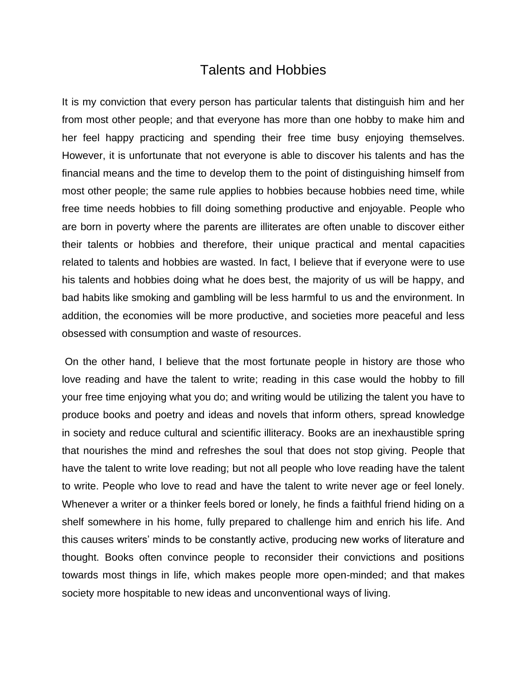## Talents and Hobbies

It is my conviction that every person has particular talents that distinguish him and her from most other people; and that everyone has more than one hobby to make him and her feel happy practicing and spending their free time busy enjoying themselves. However, it is unfortunate that not everyone is able to discover his talents and has the financial means and the time to develop them to the point of distinguishing himself from most other people; the same rule applies to hobbies because hobbies need time, while free time needs hobbies to fill doing something productive and enjoyable. People who are born in poverty where the parents are illiterates are often unable to discover either their talents or hobbies and therefore, their unique practical and mental capacities related to talents and hobbies are wasted. In fact, I believe that if everyone were to use his talents and hobbies doing what he does best, the majority of us will be happy, and bad habits like smoking and gambling will be less harmful to us and the environment. In addition, the economies will be more productive, and societies more peaceful and less obsessed with consumption and waste of resources.

On the other hand, I believe that the most fortunate people in history are those who love reading and have the talent to write; reading in this case would the hobby to fill your free time enjoying what you do; and writing would be utilizing the talent you have to produce books and poetry and ideas and novels that inform others, spread knowledge in society and reduce cultural and scientific illiteracy. Books are an inexhaustible spring that nourishes the mind and refreshes the soul that does not stop giving. People that have the talent to write love reading; but not all people who love reading have the talent to write. People who love to read and have the talent to write never age or feel lonely. Whenever a writer or a thinker feels bored or lonely, he finds a faithful friend hiding on a shelf somewhere in his home, fully prepared to challenge him and enrich his life. And this causes writers' minds to be constantly active, producing new works of literature and thought. Books often convince people to reconsider their convictions and positions towards most things in life, which makes people more open-minded; and that makes society more hospitable to new ideas and unconventional ways of living.